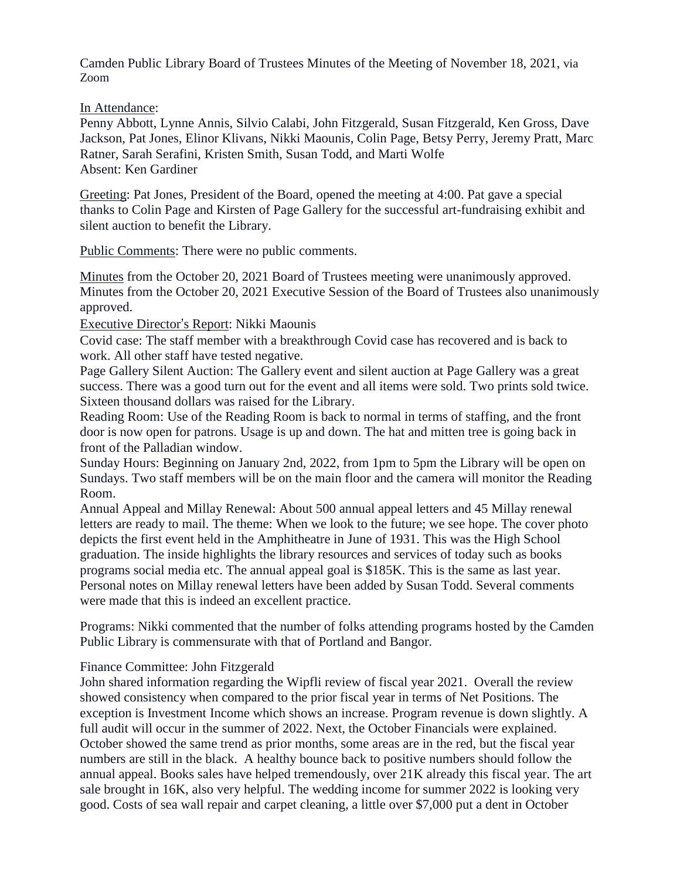Camden Public Library Board of Trustees Minutes of the Meeting of November 18, 2021, via Zoom

In Attendance:

Penny Abbott, Lynne Annis, Silvio Calabi, John Fitzgerald, Susan Fitzgerald, Ken Gross, Dave Jackson, Pat Jones, Elinor Klivans, Nikki Maounis, Colin Page, Betsy Perry, Jeremy Pratt, Marc Ratner, Sarah Serafini, Kristen Smith, Susan Todd, and Marti Wolfe Absent: Ken Gardiner

Greeting: Pat Jones, President of the Board, opened the meeting at 4:00. Pat gave a special thanks to Colin Page and Kirsten of Page Gallery for the successful art-fundraising exhibit and silent auction to benefit the Library.

Public Comments: There were no public comments.

Minutes from the October 20, 2021 Board of Trustees meeting were unanimously approved. Minutes from the October 20, 2021 Executive Session of the Board of Trustees also unanimously approved.

Executive Director's Report: Nikki Maounis

Covid case: The staff member with a breakthrough Covid case has recovered and is back to work. All other staff have tested negative.

Page Gallery Silent Auction: The Gallery event and silent auction at Page Gallery was a great success. There was a good turn out for the event and all items were sold. Two prints sold twice. Sixteen thousand dollars was raised for the Library.

Reading Room: Use of the Reading Room is back to normal in terms of staffing, and the front door is now open for patrons. Usage is up and down. The hat and mitten tree is going back in front of the Palladian window.

Sunday Hours: Beginning on January 2nd, 2022, from 1pm to 5pm the Library will be open on Sundays. Two staff members will be on the main floor and the camera will monitor the Reading Room.

Annual Appeal and Millay Renewal: About 500 annual appeal letters and 45 Millay renewal letters are ready to mail. The theme: When we look to the future; we see hope. The cover photo depicts the first event held in the Amphitheatre in June of 1931. This was the High School graduation. The inside highlights the library resources and services of today such as books programs social media etc. The annual appeal goal is \$185K. This is the same as last year. Personal notes on Millay renewal letters have been added by Susan Todd. Several comments were made that this is indeed an excellent practice.

Programs: Nikki commented that the number of folks attending programs hosted by the Camden Public Library is commensurate with that of Portland and Bangor.

## Finance Committee: John Fitzgerald

John shared information regarding the Wipfli review of fiscal year 2021. Overall the review showed consistency when compared to the prior fiscal year in terms of Net Positions. The exception is Investment Income which shows an increase. Program revenue is down slightly. A full audit will occur in the summer of 2022. Next, the October Financials were explained. October showed the same trend as prior months, some areas are in the red, but the fiscal year numbers are still in the black. A healthy bounce back to positive numbers should follow the annual appeal. Books sales have helped tremendously, over 21K already this fiscal year. The art sale brought in 16K, also very helpful. The wedding income for summer 2022 is looking very good. Costs of sea wall repair and carpet cleaning, a little over \$7,000 put a dent in October